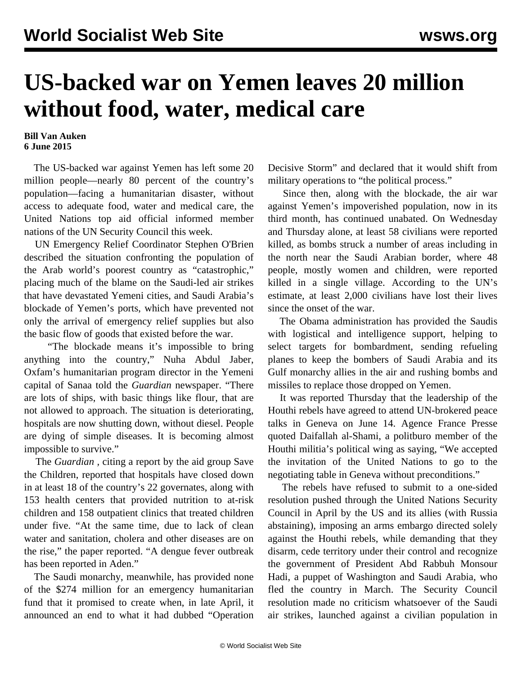## **US-backed war on Yemen leaves 20 million without food, water, medical care**

## **Bill Van Auken 6 June 2015**

 The US-backed war against Yemen has left some 20 million people—nearly 80 percent of the country's population—facing a humanitarian disaster, without access to adequate food, water and medical care, the United Nations top aid official informed member nations of the UN Security Council this week.

 UN Emergency Relief Coordinator Stephen O'Brien described the situation confronting the population of the Arab world's poorest country as "catastrophic," placing much of the blame on the Saudi-led air strikes that have devastated Yemeni cities, and Saudi Arabia's blockade of Yemen's ports, which have prevented not only the arrival of emergency relief supplies but also the basic flow of goods that existed before the war.

 "The blockade means it's impossible to bring anything into the country," Nuha Abdul Jaber, Oxfam's humanitarian program director in the Yemeni capital of Sanaa told the *Guardian* newspaper. "There are lots of ships, with basic things like flour, that are not allowed to approach. The situation is deteriorating, hospitals are now shutting down, without diesel. People are dying of simple diseases. It is becoming almost impossible to survive."

 The *Guardian ,* citing a report by the aid group Save the Children, reported that hospitals have closed down in at least 18 of the country's 22 governates, along with 153 health centers that provided nutrition to at-risk children and 158 outpatient clinics that treated children under five. "At the same time, due to lack of clean water and sanitation, cholera and other diseases are on the rise," the paper reported. "A dengue fever outbreak has been reported in Aden."

 The Saudi monarchy, meanwhile, has provided none of the \$274 million for an emergency humanitarian fund that it promised to create when, in late April, it announced an end to what it had dubbed "Operation

Decisive Storm" and declared that it would shift from military operations to "the political process."

 Since then, along with the blockade, the air war against Yemen's impoverished population, now in its third month, has continued unabated. On Wednesday and Thursday alone, at least 58 civilians were reported killed, as bombs struck a number of areas including in the north near the Saudi Arabian border, where 48 people, mostly women and children, were reported killed in a single village. According to the UN's estimate, at least 2,000 civilians have lost their lives since the onset of the war.

 The Obama administration has provided the Saudis with logistical and intelligence support, helping to select targets for bombardment, sending refueling planes to keep the bombers of Saudi Arabia and its Gulf monarchy allies in the air and rushing bombs and missiles to replace those dropped on Yemen.

 It was reported Thursday that the leadership of the Houthi rebels have agreed to attend UN-brokered peace talks in Geneva on June 14. Agence France Presse quoted Daifallah al-Shami, a politburo member of the Houthi militia's political wing as saying, "We accepted the invitation of the United Nations to go to the negotiating table in Geneva without preconditions."

 The rebels have refused to submit to a one-sided resolution pushed through the United Nations Security Council in April by the US and its allies (with Russia abstaining), imposing an arms embargo directed solely against the Houthi rebels, while demanding that they disarm, cede territory under their control and recognize the government of President Abd Rabbuh Monsour Hadi, a puppet of Washington and Saudi Arabia, who fled the country in March. The Security Council resolution made no criticism whatsoever of the Saudi air strikes, launched against a civilian population in